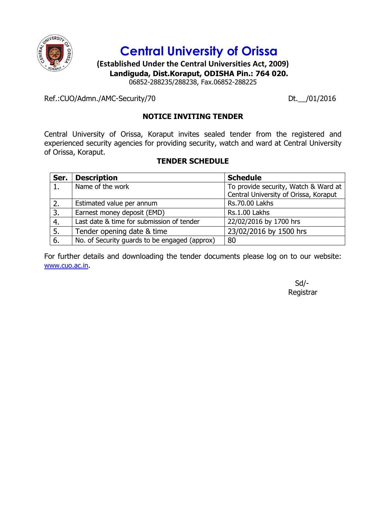

# **Central University of Orissa**

**(Established Under the Central Universities Act, 2009) Landiguda, Dist.Koraput, ODISHA Pin.: 764 020.**

06852-288235/288238, Fax.06852-288225

Ref.:CUO/Admn./AMC-Security/70 Dt. /01/2016

# **NOTICE INVITING TENDER**

Central University of Orissa, Koraput invites sealed tender from the registered and experienced security agencies for providing security, watch and ward at Central University of Orissa, Koraput.

# **TENDER SCHEDULE**

| Ser. | <b>Description</b>                            | <b>Schedule</b>                       |
|------|-----------------------------------------------|---------------------------------------|
|      | Name of the work                              | To provide security, Watch & Ward at  |
|      |                                               | Central University of Orissa, Koraput |
|      | Estimated value per annum                     | <b>Rs.70.00 Lakhs</b>                 |
| 3.   | Earnest money deposit (EMD)                   | Rs.1.00 Lakhs                         |
| 4.   | Last date & time for submission of tender     | 22/02/2016 by 1700 hrs                |
| 5.   | Tender opening date & time                    | 23/02/2016 by 1500 hrs                |
| 6.   | No. of Security guards to be engaged (approx) | 80                                    |

For further details and downloading the tender documents please log on to our website: [www.cuo.ac.in](http://www.cuo.ac.in/).

> Sd/- Registrar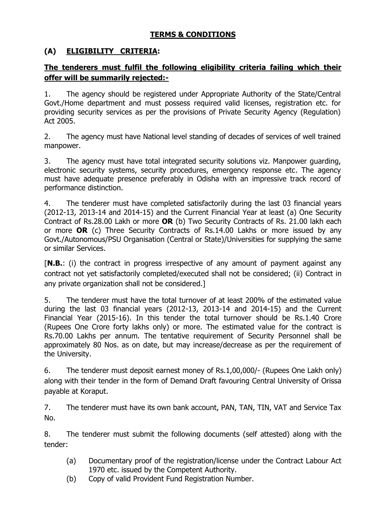# **TERMS & CONDITIONS**

# **(A) ELIGIBILITY CRITERIA:**

# **The tenderers must fulfil the following eligibility criteria failing which their offer will be summarily rejected:-**

1. The agency should be registered under Appropriate Authority of the State/Central Govt./Home department and must possess required valid licenses, registration etc. for providing security services as per the provisions of Private Security Agency (Regulation) Act 2005.

2. The agency must have National level standing of decades of services of well trained manpower.

3. The agency must have total integrated security solutions viz. Manpower guarding, electronic security systems, security procedures, emergency response etc. The agency must have adequate presence preferably in Odisha with an impressive track record of performance distinction.

4. The tenderer must have completed satisfactorily during the last 03 financial years (2012-13, 2013-14 and 2014-15) and the Current Financial Year at least (a) One Security Contract of Rs.28.00 Lakh or more **OR** (b) Two Security Contracts of Rs. 21.00 lakh each or more **OR** (c) Three Security Contracts of Rs.14.00 Lakhs or more issued by any Govt./Autonomous/PSU Organisation (Central or State)/Universities for supplying the same or similar Services.

[**N.B.**: (i) the contract in progress irrespective of any amount of payment against any contract not yet satisfactorily completed/executed shall not be considered; (ii) Contract in any private organization shall not be considered.]

5. The tenderer must have the total turnover of at least 200% of the estimated value during the last 03 financial years (2012-13, 2013-14 and 2014-15) and the Current Financial Year (2015-16). In this tender the total turnover should be Rs.1.40 Crore (Rupees One Crore forty lakhs only) or more. The estimated value for the contract is Rs.70.00 Lakhs per annum. The tentative requirement of Security Personnel shall be approximately 80 Nos. as on date, but may increase/decrease as per the requirement of the University.

6. The tenderer must deposit earnest money of Rs.1,00,000/- (Rupees One Lakh only) along with their tender in the form of Demand Draft favouring Central University of Orissa payable at Koraput.

7. The tenderer must have its own bank account, PAN, TAN, TIN, VAT and Service Tax No.

8. The tenderer must submit the following documents (self attested) along with the tender:

- (a) Documentary proof of the registration/license under the Contract Labour Act 1970 etc. issued by the Competent Authority.
- (b) Copy of valid Provident Fund Registration Number.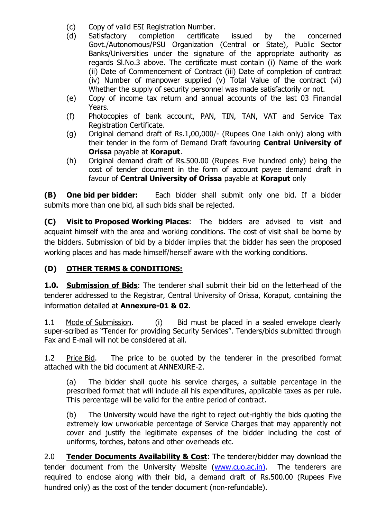- (c) Copy of valid ESI Registration Number.
- (d) Satisfactory completion certificate issued by the concerned Govt./Autonomous/PSU Organization (Central or State), Public Sector Banks/Universities under the signature of the appropriate authority as regards Sl.No.3 above. The certificate must contain (i) Name of the work (ii) Date of Commencement of Contract (iii) Date of completion of contract (iv) Number of manpower supplied (v) Total Value of the contract (vi) Whether the supply of security personnel was made satisfactorily or not.
- (e) Copy of income tax return and annual accounts of the last 03 Financial Years.
- (f) Photocopies of bank account, PAN, TIN, TAN, VAT and Service Tax Registration Certificate.
- (g) Original demand draft of Rs.1,00,000/- (Rupees One Lakh only) along with their tender in the form of Demand Draft favouring **Central University of Orissa** payable at **Koraput**.
- (h) Original demand draft of Rs.500.00 (Rupees Five hundred only) being the cost of tender document in the form of account payee demand draft in favour of **Central University of Orissa** payable at **Koraput** only

**(B) One bid per bidder:** Each bidder shall submit only one bid. If a bidder submits more than one bid, all such bids shall be rejected.

**(C) Visit to Proposed Working Places**: The bidders are advised to visit and acquaint himself with the area and working conditions. The cost of visit shall be borne by the bidders. Submission of bid by a bidder implies that the bidder has seen the proposed working places and has made himself/herself aware with the working conditions.

# **(D) OTHER TERMS & CONDITIONS:**

**1.0. Submission of Bids**: The tenderer shall submit their bid on the letterhead of the tenderer addressed to the Registrar, Central University of Orissa, Koraput, containing the information detailed at **Annexure-01 & 02**.

1.1 Mode of Submission. (i) Bid must be placed in a sealed envelope clearly super-scribed as "Tender for providing Security Services". Tenders/bids submitted through Fax and E-mail will not be considered at all.

1.2 Price Bid. The price to be quoted by the tenderer in the prescribed format attached with the bid document at ANNEXURE-2.

(a) The bidder shall quote his service charges, a suitable percentage in the prescribed format that will include all his expenditures, applicable taxes as per rule. This percentage will be valid for the entire period of contract.

(b) The University would have the right to reject out-rightly the bids quoting the extremely low unworkable percentage of Service Charges that may apparently not cover and justify the legitimate expenses of the bidder including the cost of uniforms, torches, batons and other overheads etc.

2.0 **Tender Documents Availability & Cost**: The tenderer/bidder may download the tender document from the University Website [\(www.cuo.ac.in\)](http://www.cuo.ac.in/). The tenderers are required to enclose along with their bid, a demand draft of Rs.500.00 (Rupees Five hundred only) as the cost of the tender document (non-refundable).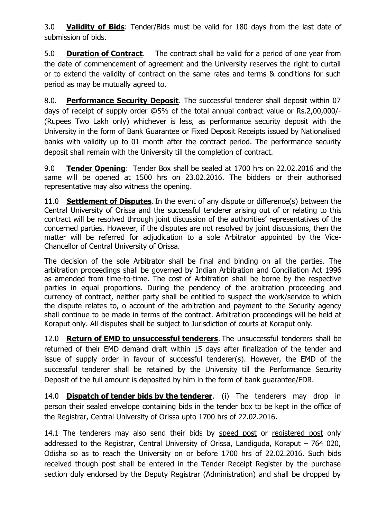3.0 **Validity of Bids**: Tender/Bids must be valid for 180 days from the last date of submission of bids.

5.0 **Duration of Contract**. The contract shall be valid for a period of one year from the date of commencement of agreement and the University reserves the right to curtail or to extend the validity of contract on the same rates and terms & conditions for such period as may be mutually agreed to.

8.0. **Performance Security Deposit**. The successful tenderer shall deposit within 07 days of receipt of supply order @5% of the total annual contract value or Rs.2,00,000/- (Rupees Two Lakh only) whichever is less, as performance security deposit with the University in the form of Bank Guarantee or Fixed Deposit Receipts issued by Nationalised banks with validity up to 01 month after the contract period. The performance security deposit shall remain with the University till the completion of contract.

9.0 **Tender Opening**: Tender Box shall be sealed at 1700 hrs on 22.02.2016 and the same will be opened at 1500 hrs on 23.02.2016. The bidders or their authorised representative may also witness the opening.

11.0 **Settlement of Disputes**. In the event of any dispute or difference(s) between the Central University of Orissa and the successful tenderer arising out of or relating to this contract will be resolved through joint discussion of the authorities' representatives of the concerned parties. However, if the disputes are not resolved by joint discussions, then the matter will be referred for adjudication to a sole Arbitrator appointed by the Vice-Chancellor of Central University of Orissa.

The decision of the sole Arbitrator shall be final and binding on all the parties. The arbitration proceedings shall be governed by Indian Arbitration and Conciliation Act 1996 as amended from time-to-time. The cost of Arbitration shall be borne by the respective parties in equal proportions. During the pendency of the arbitration proceeding and currency of contract, neither party shall be entitled to suspect the work/service to which the dispute relates to, o account of the arbitration and payment to the Security agency shall continue to be made in terms of the contract. Arbitration proceedings will be held at Koraput only. All disputes shall be subject to Jurisdiction of courts at Koraput only.

12.0 **Return of EMD to unsuccessful tenderers**. The unsuccessful tenderers shall be returned of their EMD demand draft within 15 days after finalization of the tender and issue of supply order in favour of successful tenderer(s). However, the EMD of the successful tenderer shall be retained by the University till the Performance Security Deposit of the full amount is deposited by him in the form of bank guarantee/FDR.

14.0 **Dispatch of tender bids by the tenderer**. (i) The tenderers may drop in person their sealed envelope containing bids in the tender box to be kept in the office of the Registrar, Central University of Orissa upto 1700 hrs of 22.02.2016.

14.1 The tenderers may also send their bids by speed post or registered post only addressed to the Registrar, Central University of Orissa, Landiguda, Koraput – 764 020, Odisha so as to reach the University on or before 1700 hrs of 22.02.2016. Such bids received though post shall be entered in the Tender Receipt Register by the purchase section duly endorsed by the Deputy Registrar (Administration) and shall be dropped by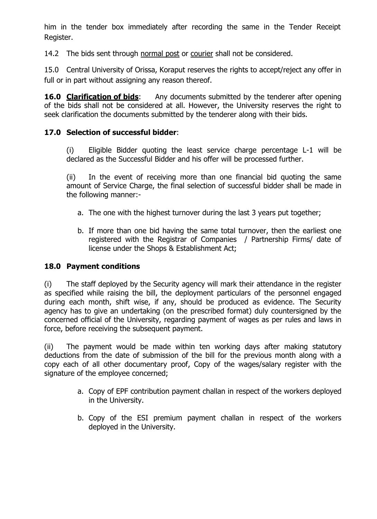him in the tender box immediately after recording the same in the Tender Receipt Register.

14.2 The bids sent through normal post or courier shall not be considered.

15.0 Central University of Orissa, Koraput reserves the rights to accept/reject any offer in full or in part without assigning any reason thereof.

**16.0 Clarification of bids:** Any documents submitted by the tenderer after opening of the bids shall not be considered at all. However, the University reserves the right to seek clarification the documents submitted by the tenderer along with their bids.

# **17.0 Selection of successful bidder**:

(i) Eligible Bidder quoting the least service charge percentage L-1 will be declared as the Successful Bidder and his offer will be processed further.

(ii) In the event of receiving more than one financial bid quoting the same amount of Service Charge, the final selection of successful bidder shall be made in the following manner:-

- a. The one with the highest turnover during the last 3 years put together;
- b. If more than one bid having the same total turnover, then the earliest one registered with the Registrar of Companies / Partnership Firms/ date of license under the Shops & Establishment Act;

#### **18.0 Payment conditions**

(i) The staff deployed by the Security agency will mark their attendance in the register as specified while raising the bill, the deployment particulars of the personnel engaged during each month, shift wise, if any, should be produced as evidence. The Security agency has to give an undertaking (on the prescribed format) duly countersigned by the concerned official of the University, regarding payment of wages as per rules and laws in force, before receiving the subsequent payment.

(ii) The payment would be made within ten working days after making statutory deductions from the date of submission of the bill for the previous month along with a copy each of all other documentary proof, Copy of the wages/salary register with the signature of the employee concerned;

- a. Copy of EPF contribution payment challan in respect of the workers deployed in the University.
- b. Copy of the ESI premium payment challan in respect of the workers deployed in the University.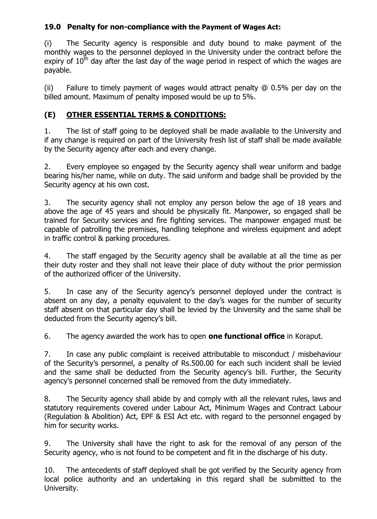# **19.0 Penalty for non-compliance with the Payment of Wages Act:**

(i) The Security agency is responsible and duty bound to make payment of the monthly wages to the personnel deployed in the University under the contract before the expiry of  $10<sup>th</sup>$  day after the last day of the wage period in respect of which the wages are payable.

(ii) Failure to timely payment of wages would attract penalty  $\omega$  0.5% per day on the billed amount. Maximum of penalty imposed would be up to 5%.

# **(E) OTHER ESSENTIAL TERMS & CONDITIONS:**

1. The list of staff going to be deployed shall be made available to the University and if any change is required on part of the University fresh list of staff shall be made available by the Security agency after each and every change.

2. Every employee so engaged by the Security agency shall wear uniform and badge bearing his/her name, while on duty. The said uniform and badge shall be provided by the Security agency at his own cost.

3. The security agency shall not employ any person below the age of 18 years and above the age of 45 years and should be physically fit. Manpower, so engaged shall be trained for Security services and fire fighting services. The manpower engaged must be capable of patrolling the premises, handling telephone and wireless equipment and adept in traffic control & parking procedures.

4. The staff engaged by the Security agency shall be available at all the time as per their duty roster and they shall not leave their place of duty without the prior permission of the authorized officer of the University.

5. In case any of the Security agency's personnel deployed under the contract is absent on any day, a penalty equivalent to the day's wages for the number of security staff absent on that particular day shall be levied by the University and the same shall be deducted from the Security agency's bill.

6. The agency awarded the work has to open **one functional office** in Koraput.

7. In case any public complaint is received attributable to misconduct / misbehaviour of the Security's personnel, a penalty of Rs.500.00 for each such incident shall be levied and the same shall be deducted from the Security agency's bill. Further, the Security agency's personnel concerned shall be removed from the duty immediately.

8. The Security agency shall abide by and comply with all the relevant rules, laws and statutory requirements covered under Labour Act, Minimum Wages and Contract Labour (Regulation & Abolition) Act, EPF & ESI Act etc. with regard to the personnel engaged by him for security works.

9. The University shall have the right to ask for the removal of any person of the Security agency, who is not found to be competent and fit in the discharge of his duty.

10. The antecedents of staff deployed shall be got verified by the Security agency from local police authority and an undertaking in this regard shall be submitted to the University.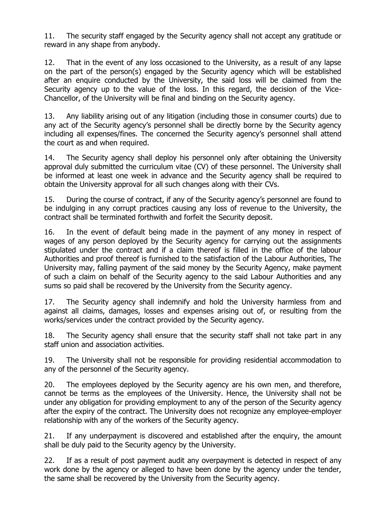11. The security staff engaged by the Security agency shall not accept any gratitude or reward in any shape from anybody.

12. That in the event of any loss occasioned to the University, as a result of any lapse on the part of the person(s) engaged by the Security agency which will be established after an enquire conducted by the University, the said loss will be claimed from the Security agency up to the value of the loss. In this regard, the decision of the Vice-Chancellor, of the University will be final and binding on the Security agency.

13. Any liability arising out of any litigation (including those in consumer courts) due to any act of the Security agency's personnel shall be directly borne by the Security agency including all expenses/fines. The concerned the Security agency's personnel shall attend the court as and when required.

14. The Security agency shall deploy his personnel only after obtaining the University approval duly submitted the curriculum vitae (CV) of these personnel. The University shall be informed at least one week in advance and the Security agency shall be required to obtain the University approval for all such changes along with their CVs.

15. During the course of contract, if any of the Security agency's personnel are found to be indulging in any corrupt practices causing any loss of revenue to the University, the contract shall be terminated forthwith and forfeit the Security deposit.

16. In the event of default being made in the payment of any money in respect of wages of any person deployed by the Security agency for carrying out the assignments stipulated under the contract and if a claim thereof is filled in the office of the labour Authorities and proof thereof is furnished to the satisfaction of the Labour Authorities, The University may, falling payment of the said money by the Security Agency, make payment of such a claim on behalf of the Security agency to the said Labour Authorities and any sums so paid shall be recovered by the University from the Security agency.

17. The Security agency shall indemnify and hold the University harmless from and against all claims, damages, losses and expenses arising out of, or resulting from the works/services under the contract provided by the Security agency.

18. The Security agency shall ensure that the security staff shall not take part in any staff union and association activities.

19. The University shall not be responsible for providing residential accommodation to any of the personnel of the Security agency.

20. The employees deployed by the Security agency are his own men, and therefore, cannot be terms as the employees of the University. Hence, the University shall not be under any obligation for providing employment to any of the person of the Security agency after the expiry of the contract. The University does not recognize any employee-employer relationship with any of the workers of the Security agency.

21. If any underpayment is discovered and established after the enquiry, the amount shall be duly paid to the Security agency by the University.

22. If as a result of post payment audit any overpayment is detected in respect of any work done by the agency or alleged to have been done by the agency under the tender, the same shall be recovered by the University from the Security agency.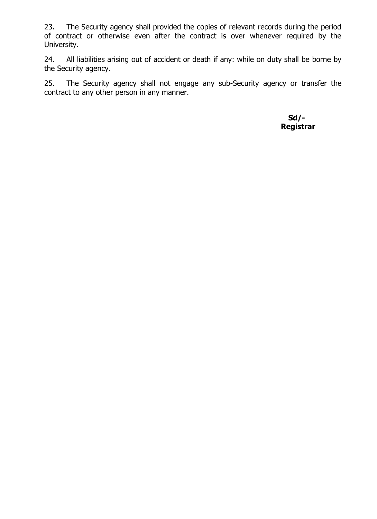23. The Security agency shall provided the copies of relevant records during the period of contract or otherwise even after the contract is over whenever required by the University.

24. All liabilities arising out of accident or death if any: while on duty shall be borne by the Security agency.

25. The Security agency shall not engage any sub-Security agency or transfer the contract to any other person in any manner.

> **Sd/- Registrar**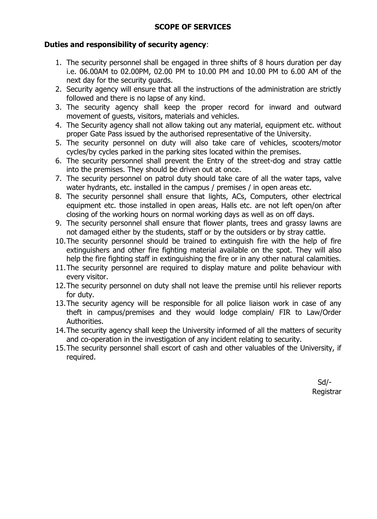### **SCOPE OF SERVICES**

#### **Duties and responsibility of security agency**:

- 1. The security personnel shall be engaged in three shifts of 8 hours duration per day i.e. 06.00AM to 02.00PM, 02.00 PM to 10.00 PM and 10.00 PM to 6.00 AM of the next day for the security guards.
- 2. Security agency will ensure that all the instructions of the administration are strictly followed and there is no lapse of any kind.
- 3. The security agency shall keep the proper record for inward and outward movement of guests, visitors, materials and vehicles.
- 4. The Security agency shall not allow taking out any material, equipment etc. without proper Gate Pass issued by the authorised representative of the University.
- 5. The security personnel on duty will also take care of vehicles, scooters/motor cycles/by cycles parked in the parking sites located within the premises.
- 6. The security personnel shall prevent the Entry of the street-dog and stray cattle into the premises. They should be driven out at once.
- 7. The security personnel on patrol duty should take care of all the water taps, valve water hydrants, etc. installed in the campus / premises / in open areas etc.
- 8. The security personnel shall ensure that lights, ACs, Computers, other electrical equipment etc. those installed in open areas, Halls etc. are not left open/on after closing of the working hours on normal working days as well as on off days.
- 9. The security personnel shall ensure that flower plants, trees and grassy lawns are not damaged either by the students, staff or by the outsiders or by stray cattle.
- 10.The security personnel should be trained to extinguish fire with the help of fire extinguishers and other fire fighting material available on the spot. They will also help the fire fighting staff in extinguishing the fire or in any other natural calamities.
- 11.The security personnel are required to display mature and polite behaviour with every visitor.
- 12.The security personnel on duty shall not leave the premise until his reliever reports for duty.
- 13.The security agency will be responsible for all police liaison work in case of any theft in campus/premises and they would lodge complain/ FIR to Law/Order Authorities.
- 14.The security agency shall keep the University informed of all the matters of security and co-operation in the investigation of any incident relating to security.
- 15.The security personnel shall escort of cash and other valuables of the University, if required.

Sd/- Registrar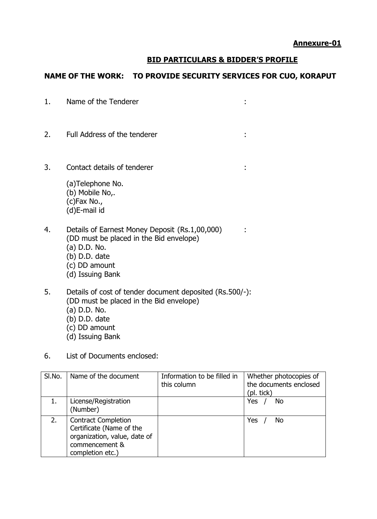#### **BID PARTICULARS & BIDDER'S PROFILE**

#### **NAME OF THE WORK: TO PROVIDE SECURITY SERVICES FOR CUO, KORAPUT**

- 1. Name of the Tenderer : the state of the Tenderer in the state of the Tenderer in the state of the state of the state of the state of the state of the state of the state of the state of the state of the state of the stat
- 2. Full Address of the tenderer :
- 3. Contact details of tenderer :
	- (a)Telephone No. (b) Mobile No,. (c)Fax No., (d)E-mail id
- 4. Details of Earnest Money Deposit (Rs.1,00,000) : (DD must be placed in the Bid envelope) (a) D.D. No. (b) D.D. date (c) DD amount (d) Issuing Bank
- 5. Details of cost of tender document deposited (Rs.500/-): (DD must be placed in the Bid envelope) (a) D.D. No. (b) D.D. date (c) DD amount
	- (d) Issuing Bank
- 6. List of Documents enclosed:

| SI.No. | Name of the document                                                                                                         | Information to be filled in<br>this column | Whether photocopies of<br>the documents enclosed<br>(pl. tick) |
|--------|------------------------------------------------------------------------------------------------------------------------------|--------------------------------------------|----------------------------------------------------------------|
|        | License/Registration<br>(Number)                                                                                             |                                            | Yes<br>No                                                      |
| 2.     | <b>Contract Completion</b><br>Certificate (Name of the<br>organization, value, date of<br>commencement &<br>completion etc.) |                                            | Yes<br>No.                                                     |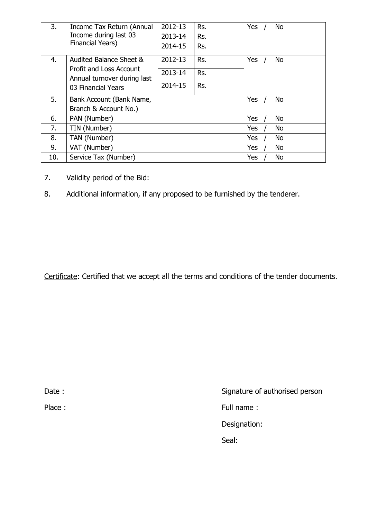| 3.  | Income Tax Return (Annual<br>Income during last 03<br>Financial Years) | 2012-13 | Rs. | Yes | <b>No</b> |
|-----|------------------------------------------------------------------------|---------|-----|-----|-----------|
|     |                                                                        | 2013-14 | Rs. |     |           |
|     |                                                                        | 2014-15 | Rs. |     |           |
| 4.  | Audited Balance Sheet &                                                | 2012-13 | Rs. | Yes | <b>No</b> |
|     | Profit and Loss Account<br>Annual turnover during last                 | 2013-14 | Rs. |     |           |
|     | 03 Financial Years                                                     | 2014-15 | Rs. |     |           |
| 5.  | Bank Account (Bank Name,                                               |         |     | Yes | <b>No</b> |
|     | Branch & Account No.)                                                  |         |     |     |           |
| 6.  | PAN (Number)                                                           |         |     | Yes | <b>No</b> |
| 7.  | TIN (Number)                                                           |         |     | Yes | <b>No</b> |
| 8.  | TAN (Number)                                                           |         |     | Yes | <b>No</b> |
| 9.  | VAT (Number)                                                           |         |     | Yes | <b>No</b> |
| 10. | Service Tax (Number)                                                   |         |     | Yes | <b>No</b> |

- 7. Validity period of the Bid:
- 8. Additional information, if any proposed to be furnished by the tenderer.

Certificate: Certified that we accept all the terms and conditions of the tender documents.

Date : Signature of authorised person Place : Full name : Full name : Full name : Designation: Seal: